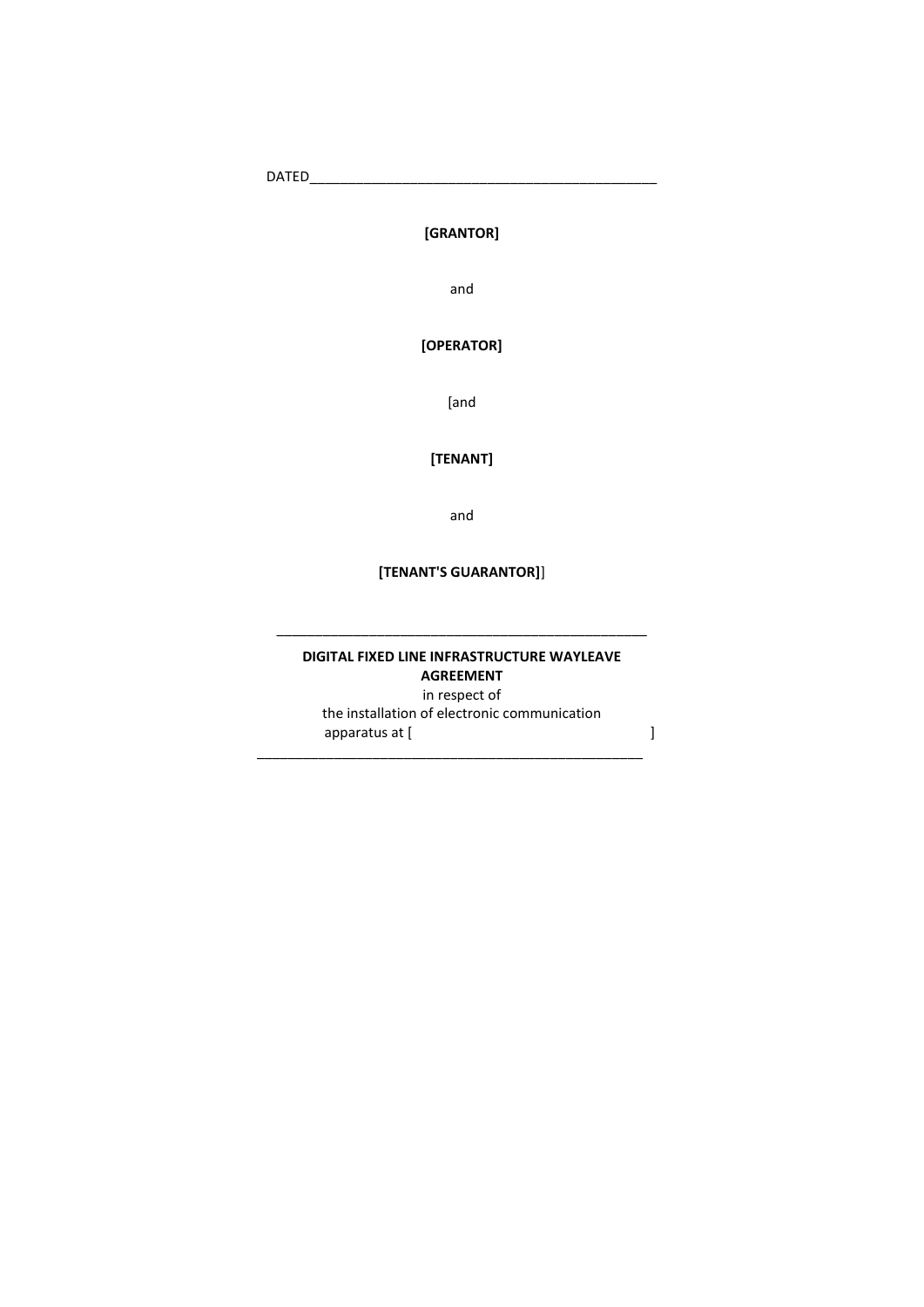DATED\_\_\_\_\_\_\_\_\_\_\_\_\_\_\_\_\_\_\_\_\_\_\_\_\_\_\_\_\_\_\_\_\_\_\_\_\_\_\_\_\_\_\_\_\_

### **[GRANTOR]**

and

### **[OPERATOR]**

[and

### **[TENANT]**

and

### **[TENANT'S GUARANTOR]**]

#### **DIGITAL FIXED LINE INFRASTRUCTURE WAYLEAVE AGREEMENT**  in respect of the installation of electronic communication apparatus at [  $\qquad \qquad$  ]

\_\_\_\_\_\_\_\_\_\_\_\_\_\_\_\_\_\_\_\_\_\_\_\_\_\_\_\_\_\_\_\_\_\_\_\_\_\_\_\_\_\_\_\_\_\_\_\_\_\_

\_\_\_\_\_\_\_\_\_\_\_\_\_\_\_\_\_\_\_\_\_\_\_\_\_\_\_\_\_\_\_\_\_\_\_\_\_\_\_\_\_\_\_\_\_\_\_\_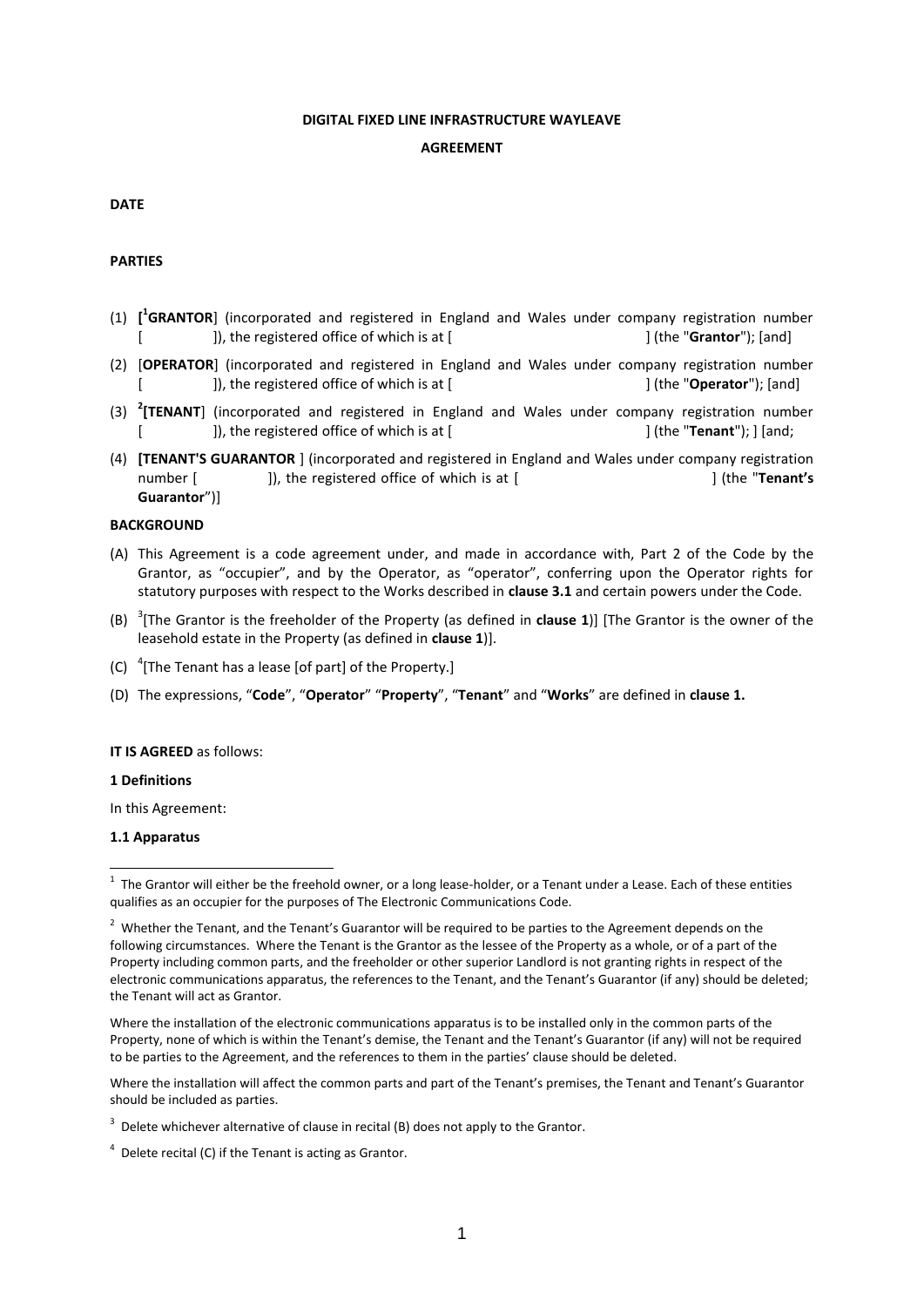#### **DIGITAL FIXED LINE INFRASTRUCTURE WAYLEAVE**

#### **AGREEMENT**

#### **DATE**

#### **PARTIES**

- (1) **[ 1 GRANTOR**] (incorporated and registered in England and Wales under company registration number [], the registered office of which is at [  $\qquad \qquad$  [ (the "**Grantor**"); [and]
- (2) [**OPERATOR**] (incorporated and registered in England and Wales under company registration number [  $\qquad$  ]), the registered office of which is at [  $\qquad$   $\qquad$  [ (the "**Operator**"); [and]
- (3) **<sup>2</sup> [TENANT**] (incorporated and registered in England and Wales under company registration number [  $\qquad$  ]), the registered office of which is at [  $\qquad$  [ (the "**Tenant**"); ] [and;
- (4) **[TENANT'S GUARANTOR** ] (incorporated and registered in England and Wales under company registration number [ ]), the registered office of which is at [ **]** (the "**Tenant's Guarantor**")]

#### **BACKGROUND**

- (A) This Agreement is a code agreement under, and made in accordance with, Part 2 of the Code by the Grantor, as "occupier", and by the Operator, as "operator", conferring upon the Operator rights for statutory purposes with respect to the Works described in **clause 3.1** and certain powers under the Code.
- (B) <sup>3</sup> [The Grantor is the freeholder of the Property (as defined in **clause 1**)] [The Grantor is the owner of the leasehold estate in the Property (as defined in **clause 1**)].
- (C)  $\frac{4}{7}$ [The Tenant has a lease [of part] of the Property.]
- (D) The expressions, "**Code**", "**Operator**" "**Property**", "**Tenant**" and "**Works**" are defined in **clause 1.**

#### **IT IS AGREED** as follows:

#### **1 Definitions**

In this Agreement:

#### **1.1 Apparatus**

Where the installation of the electronic communications apparatus is to be installed only in the common parts of the Property, none of which is within the Tenant's demise, the Tenant and the Tenant's Guarantor (if any) will not be required to be parties to the Agreement, and the references to them in the parties' clause should be deleted.

Where the installation will affect the common parts and part of the Tenant's premises, the Tenant and Tenant's Guarantor should be included as parties.

 $1$  The Grantor will either be the freehold owner, or a long lease-holder, or a Tenant under a Lease. Each of these entities qualifies as an occupier for the purposes of The Electronic Communications Code.

 $2$  Whether the Tenant, and the Tenant's Guarantor will be required to be parties to the Agreement depends on the following circumstances. Where the Tenant is the Grantor as the lessee of the Property as a whole, or of a part of the Property including common parts, and the freeholder or other superior Landlord is not granting rights in respect of the electronic communications apparatus, the references to the Tenant, and the Tenant's Guarantor (if any) should be deleted; the Tenant will act as Grantor.

 $3$  Delete whichever alternative of clause in recital (B) does not apply to the Grantor.

 $4$  Delete recital (C) if the Tenant is acting as Grantor.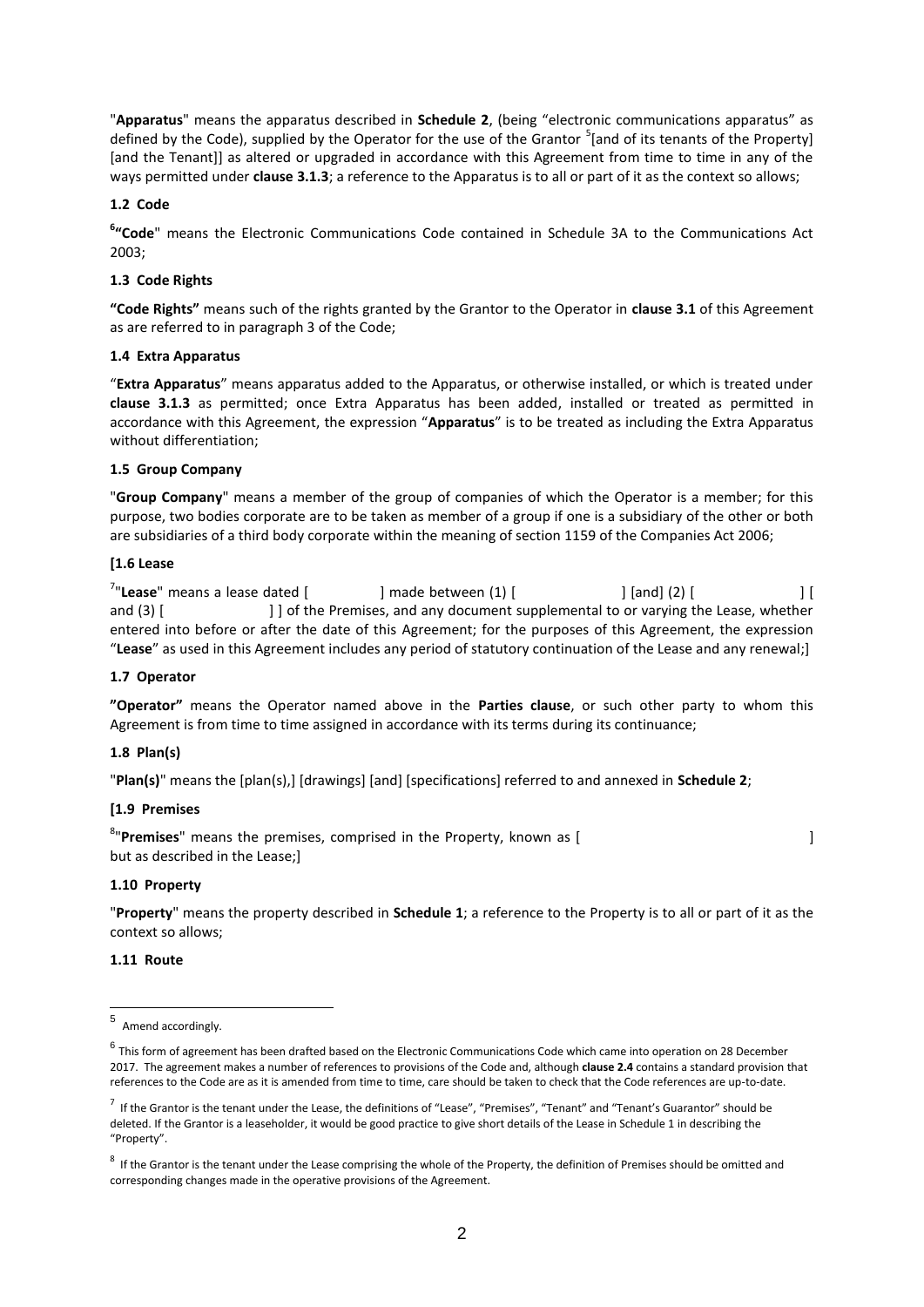"**Apparatus**" means the apparatus described in **Schedule 2**, (being "electronic communications apparatus" as defined by the Code), supplied by the Operator for the use of the Grantor <sup>5</sup>[and of its tenants of the Property] [and the Tenant]] as altered or upgraded in accordance with this Agreement from time to time in any of the ways permitted under **clause 3.1.3**; a reference to the Apparatus is to all or part of it as the context so allows;

#### **1.2 Code**

**6 "Code**" means the Electronic Communications Code contained in Schedule 3A to the Communications Act 2003;

#### **1.3 Code Rights**

**"Code Rights"** means such of the rights granted by the Grantor to the Operator in **clause 3.1** of this Agreement as are referred to in paragraph 3 of the Code;

#### **1.4 Extra Apparatus**

"**Extra Apparatus**" means apparatus added to the Apparatus, or otherwise installed, or which is treated under **clause 3.1.3** as permitted; once Extra Apparatus has been added, installed or treated as permitted in accordance with this Agreement, the expression "**Apparatus**" is to be treated as including the Extra Apparatus without differentiation;

#### **1.5 Group Company**

"**Group Company**" means a member of the group of companies of which the Operator is a member; for this purpose, two bodies corporate are to be taken as member of a group if one is a subsidiary of the other or both are subsidiaries of a third body corporate within the meaning of section 1159 of the Companies Act 2006;

#### **[1.6 Lease**

<sup>7</sup>"Lease" means a lease dated [  $\qquad$  ] made between (1) [  $\qquad \qquad$  ] [and] (2) [  $\qquad \qquad$  ] [ and (3) [  $\vert$  ] of the Premises, and any document supplemental to or varying the Lease, whether entered into before or after the date of this Agreement; for the purposes of this Agreement, the expression "**Lease**" as used in this Agreement includes any period of statutory continuation of the Lease and any renewal;]

#### **1.7 Operator**

**"Operator"** means the Operator named above in the **Parties clause**, or such other party to whom this Agreement is from time to time assigned in accordance with its terms during its continuance;

#### **1.8 Plan(s)**

"**Plan(s)**" means the [plan(s),] [drawings] [and] [specifications] referred to and annexed in **Schedule 2**;

#### **[1.9 Premises**

<sup>8</sup>"**Premises**" means the premises, comprised in the Property, known as [ but as described in the Lease;]

#### **1.10 Property**

"**Property**" means the property described in **Schedule 1**; a reference to the Property is to all or part of it as the context so allows;

#### **1.11 Route**

 5 Amend accordingly.

 $^6$  This form of agreement has been drafted based on the Electronic Communications Code which came into operation on 28 December 2017. The agreement makes a number of references to provisions of the Code and, although **clause 2.4** contains a standard provision that references to the Code are as it is amended from time to time, care should be taken to check that the Code references are up-to-date.

 $^7$  If the Grantor is the tenant under the Lease, the definitions of "Lease", "Premises", "Tenant" and "Tenant's Guarantor" should be deleted. If the Grantor is a leaseholder, it would be good practice to give short details of the Lease in Schedule 1 in describing the "Property".

 $^8$  If the Grantor is the tenant under the Lease comprising the whole of the Property, the definition of Premises should be omitted and corresponding changes made in the operative provisions of the Agreement.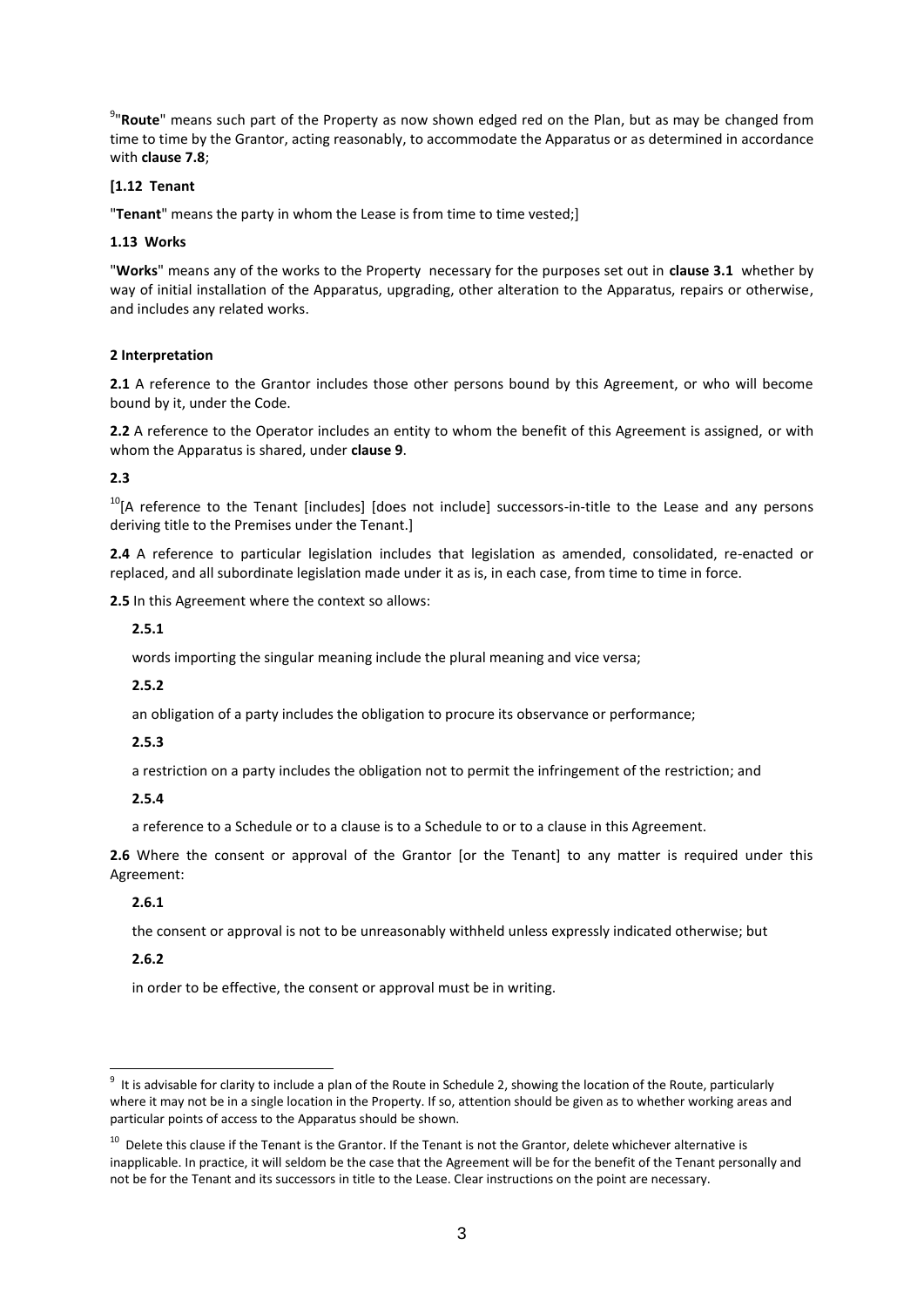<sup>9</sup>"Route" means such part of the Property as now shown edged red on the Plan, but as may be changed from time to time by the Grantor, acting reasonably, to accommodate the Apparatus or as determined in accordance with **clause 7.8**;

#### **[1.12 Tenant**

"**Tenant**" means the party in whom the Lease is from time to time vested;]

#### **1.13 Works**

"**Works**" means any of the works to the Property necessary for the purposes set out in **clause 3.1** whether by way of initial installation of the Apparatus, upgrading, other alteration to the Apparatus, repairs or otherwise, and includes any related works.

#### **2 Interpretation**

**2.1** A reference to the Grantor includes those other persons bound by this Agreement, or who will become bound by it, under the Code.

**2.2** A reference to the Operator includes an entity to whom the benefit of this Agreement is assigned, or with whom the Apparatus is shared, under **clause 9**.

#### **2.3**

<sup>10</sup>[A reference to the Tenant [includes] [does not include] successors-in-title to the Lease and any persons deriving title to the Premises under the Tenant.]

**2.4** A reference to particular legislation includes that legislation as amended, consolidated, re-enacted or replaced, and all subordinate legislation made under it as is, in each case, from time to time in force.

**2.5** In this Agreement where the context so allows:

#### **2.5.1**

words importing the singular meaning include the plural meaning and vice versa;

#### **2.5.2**

an obligation of a party includes the obligation to procure its observance or performance;

#### **2.5.3**

a restriction on a party includes the obligation not to permit the infringement of the restriction; and

#### **2.5.4**

a reference to a Schedule or to a clause is to a Schedule to or to a clause in this Agreement.

**2.6** Where the consent or approval of the Grantor [or the Tenant] to any matter is required under this Agreement:

#### **2.6.1**

the consent or approval is not to be unreasonably withheld unless expressly indicated otherwise; but

#### **2.6.2**

in order to be effective, the consent or approval must be in writing.

 $9$  It is advisable for clarity to include a plan of the Route in Schedule 2, showing the location of the Route, particularly where it may not be in a single location in the Property. If so, attention should be given as to whether working areas and particular points of access to the Apparatus should be shown.

<sup>&</sup>lt;sup>10</sup> Delete this clause if the Tenant is the Grantor. If the Tenant is not the Grantor, delete whichever alternative is inapplicable. In practice, it will seldom be the case that the Agreement will be for the benefit of the Tenant personally and not be for the Tenant and its successors in title to the Lease. Clear instructions on the point are necessary.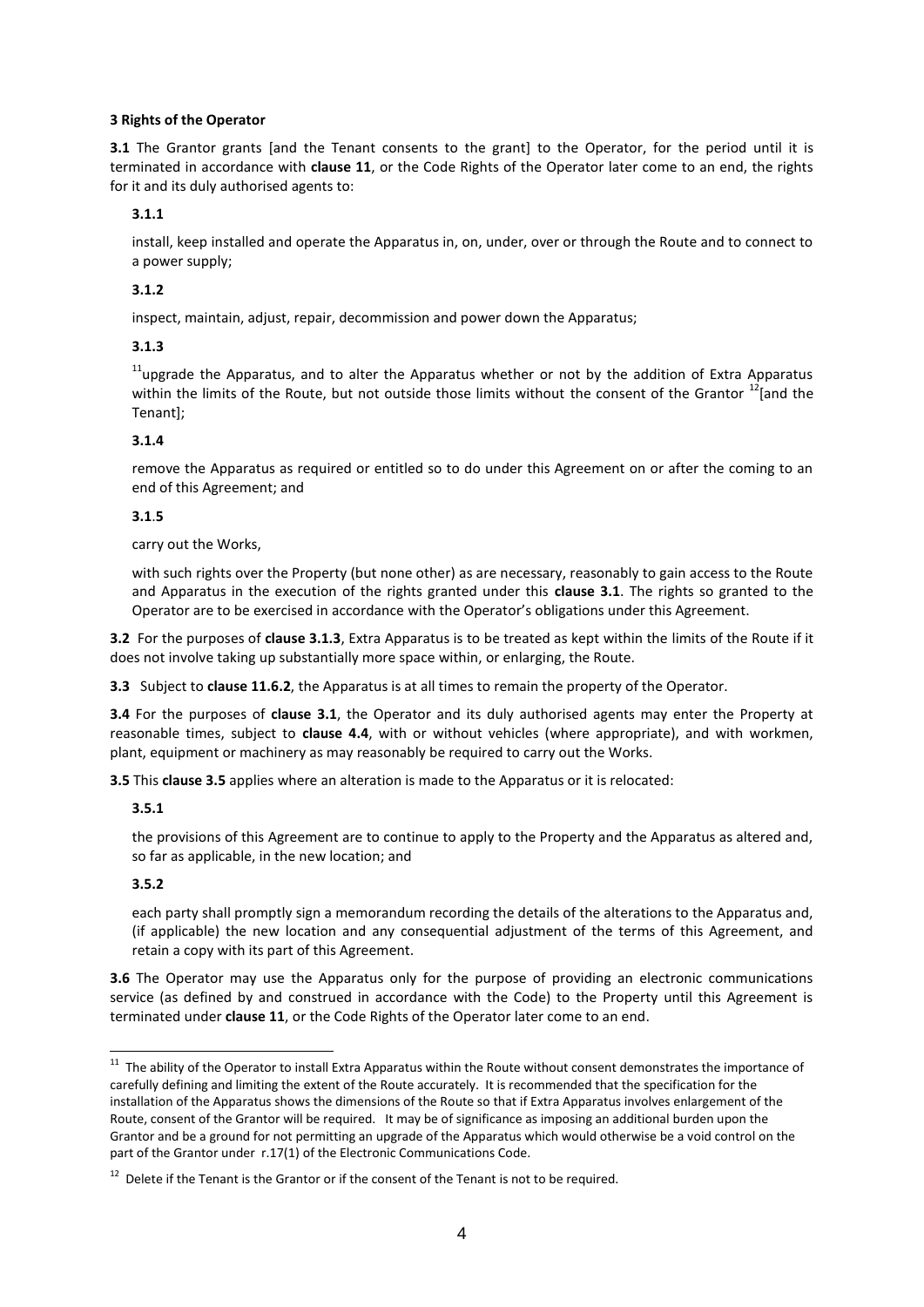#### **3 Rights of the Operator**

**3.1** The Grantor grants [and the Tenant consents to the grant] to the Operator, for the period until it is terminated in accordance with **clause 11**, or the Code Rights of the Operator later come to an end, the rights for it and its duly authorised agents to:

#### **3.1.1**

install, keep installed and operate the Apparatus in, on, under, over or through the Route and to connect to a power supply;

#### **3.1.2**

inspect, maintain, adjust, repair, decommission and power down the Apparatus;

#### **3.1.3**

 $11$ upgrade the Apparatus, and to alter the Apparatus whether or not by the addition of Extra Apparatus within the limits of the Route, but not outside those limits without the consent of the Grantor  $^{12}$ [and the Tenant];

#### **3.1.4**

remove the Apparatus as required or entitled so to do under this Agreement on or after the coming to an end of this Agreement; and

#### **3.1**.**5**

carry out the Works,

with such rights over the Property (but none other) as are necessary, reasonably to gain access to the Route and Apparatus in the execution of the rights granted under this **clause 3.1**. The rights so granted to the Operator are to be exercised in accordance with the Operator's obligations under this Agreement.

**3.2** For the purposes of **clause 3.1.3**, Extra Apparatus is to be treated as kept within the limits of the Route if it does not involve taking up substantially more space within, or enlarging, the Route.

**3.3** Subject to **clause 11.6.2**, the Apparatus is at all times to remain the property of the Operator.

**3.4** For the purposes of **clause 3.1**, the Operator and its duly authorised agents may enter the Property at reasonable times, subject to **clause 4.4**, with or without vehicles (where appropriate), and with workmen, plant, equipment or machinery as may reasonably be required to carry out the Works.

**3.5** This **clause 3.5** applies where an alteration is made to the Apparatus or it is relocated:

#### **3.5.1**

the provisions of this Agreement are to continue to apply to the Property and the Apparatus as altered and, so far as applicable, in the new location; and

#### **3.5.2**

each party shall promptly sign a memorandum recording the details of the alterations to the Apparatus and, (if applicable) the new location and any consequential adjustment of the terms of this Agreement, and retain a copy with its part of this Agreement.

**3.6** The Operator may use the Apparatus only for the purpose of providing an electronic communications service (as defined by and construed in accordance with the Code) to the Property until this Agreement is terminated under **clause 11**, or the Code Rights of the Operator later come to an end.

The ability of the Operator to install Extra Apparatus within the Route without consent demonstrates the importance of<br>A The ability of the Operator to install Extra Apparatus within the Route without consent demonstrates carefully defining and limiting the extent of the Route accurately. It is recommended that the specification for the installation of the Apparatus shows the dimensions of the Route so that if Extra Apparatus involves enlargement of the Route, consent of the Grantor will be required. It may be of significance as imposing an additional burden upon the Grantor and be a ground for not permitting an upgrade of the Apparatus which would otherwise be a void control on the part of the Grantor under r.17(1) of the Electronic Communications Code.

 $12$  Delete if the Tenant is the Grantor or if the consent of the Tenant is not to be required.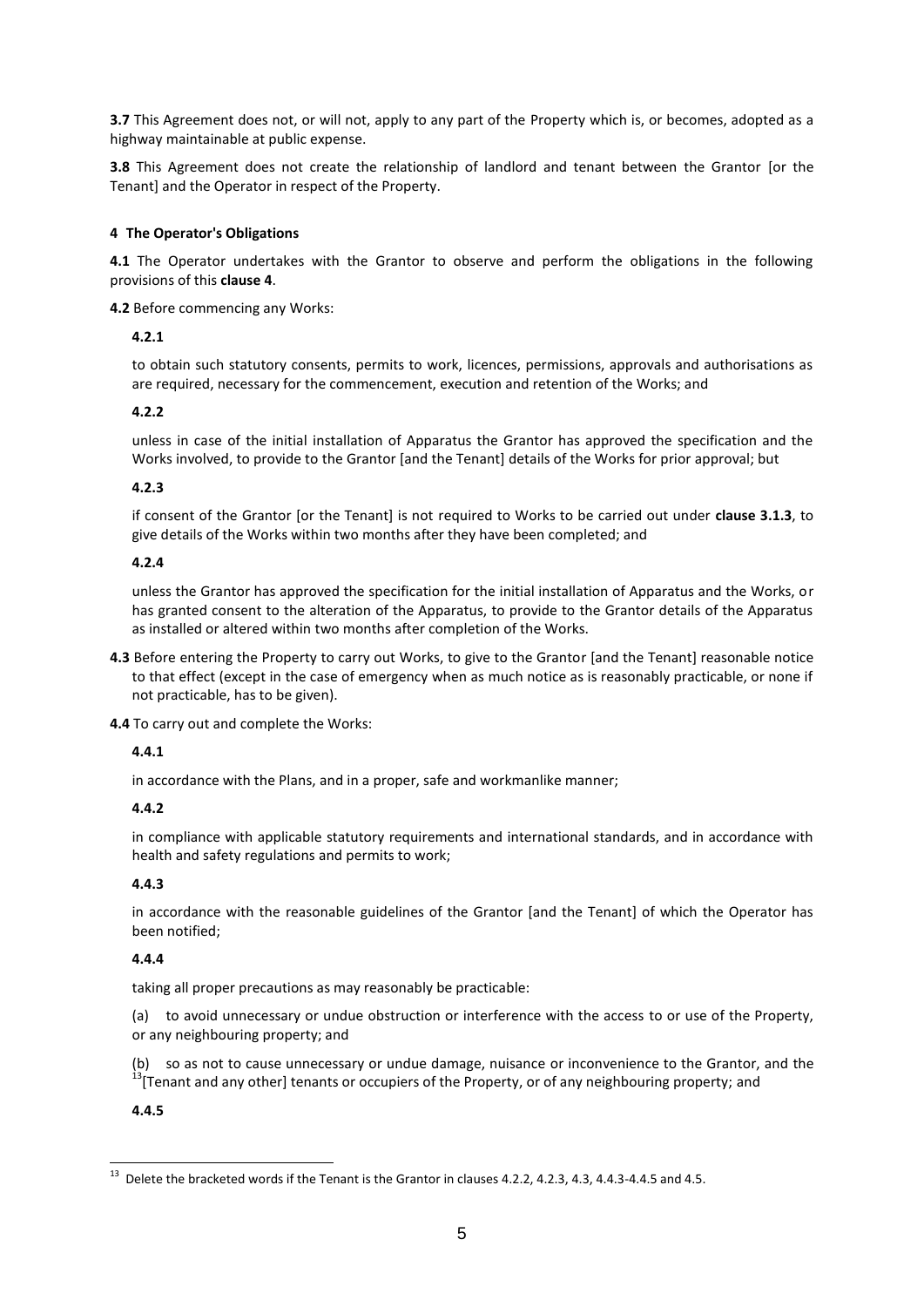**3.7** This Agreement does not, or will not, apply to any part of the Property which is, or becomes, adopted as a highway maintainable at public expense.

**3.8** This Agreement does not create the relationship of landlord and tenant between the Grantor [or the Tenant] and the Operator in respect of the Property.

#### **4 The Operator's Obligations**

**4.1** The Operator undertakes with the Grantor to observe and perform the obligations in the following provisions of this **clause 4**.

**4.2** Before commencing any Works:

#### **4.2.1**

to obtain such statutory consents, permits to work, licences, permissions, approvals and authorisations as are required, necessary for the commencement, execution and retention of the Works; and

#### **4.2.2**

unless in case of the initial installation of Apparatus the Grantor has approved the specification and the Works involved, to provide to the Grantor [and the Tenant] details of the Works for prior approval; but

#### **4.2.3**

if consent of the Grantor [or the Tenant] is not required to Works to be carried out under **clause 3.1.3**, to give details of the Works within two months after they have been completed; and

#### **4.2.4**

unless the Grantor has approved the specification for the initial installation of Apparatus and the Works, or has granted consent to the alteration of the Apparatus, to provide to the Grantor details of the Apparatus as installed or altered within two months after completion of the Works.

**4.3** Before entering the Property to carry out Works, to give to the Grantor [and the Tenant] reasonable notice to that effect (except in the case of emergency when as much notice as is reasonably practicable, or none if not practicable, has to be given).

**4.4** To carry out and complete the Works:

#### **4.4.1**

in accordance with the Plans, and in a proper, safe and workmanlike manner;

#### **4.4.2**

in compliance with applicable statutory requirements and international standards, and in accordance with health and safety regulations and permits to work;

#### **4.4.3**

in accordance with the reasonable guidelines of the Grantor [and the Tenant] of which the Operator has been notified;

#### **4.4.4**

taking all proper precautions as may reasonably be practicable:

(a) to avoid unnecessary or undue obstruction or interference with the access to or use of the Property, or any neighbouring property; and

(b) so as not to cause unnecessary or undue damage, nuisance or inconvenience to the Grantor, and the  $^{13}$ [Tenant and any other] tenants or occupiers of the Property, or of any neighbouring property; and

#### **4.4.5**

<sup>13</sup> Delete the bracketed words if the Tenant is the Grantor in clauses 4.2.2, 4.2.3, 4.3, 4.4.3-4.4.5 and 4.5.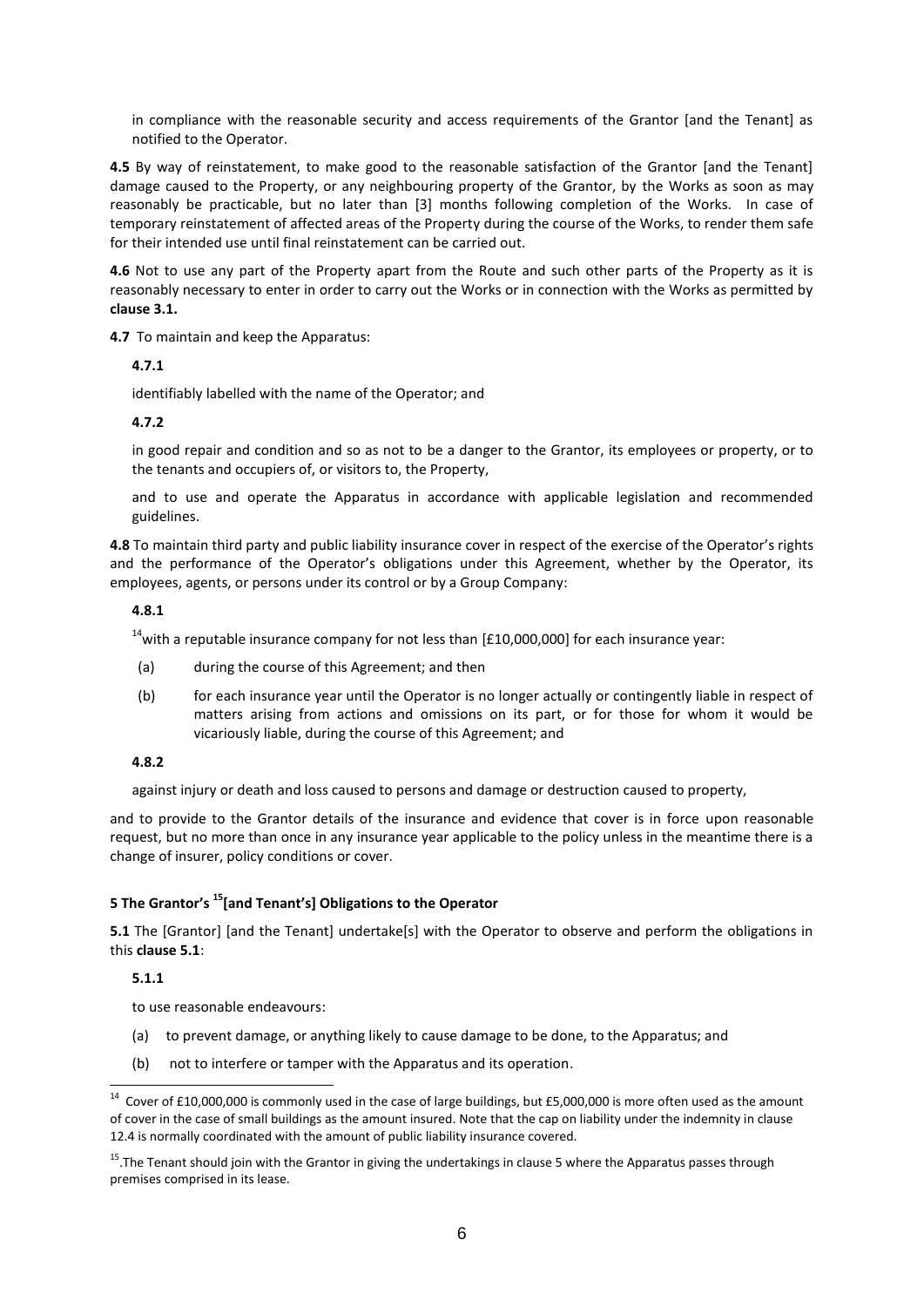in compliance with the reasonable security and access requirements of the Grantor [and the Tenant] as notified to the Operator.

**4.5** By way of reinstatement, to make good to the reasonable satisfaction of the Grantor [and the Tenant] damage caused to the Property, or any neighbouring property of the Grantor, by the Works as soon as may reasonably be practicable, but no later than [3] months following completion of the Works. In case of temporary reinstatement of affected areas of the Property during the course of the Works, to render them safe for their intended use until final reinstatement can be carried out.

**4.6** Not to use any part of the Property apart from the Route and such other parts of the Property as it is reasonably necessary to enter in order to carry out the Works or in connection with the Works as permitted by **clause 3.1.**

**4.7** To maintain and keep the Apparatus:

**4.7.1**

identifiably labelled with the name of the Operator; and

#### **4.7.2**

in good repair and condition and so as not to be a danger to the Grantor, its employees or property, or to the tenants and occupiers of, or visitors to, the Property,

and to use and operate the Apparatus in accordance with applicable legislation and recommended guidelines.

**4.8** To maintain third party and public liability insurance cover in respect of the exercise of the Operator's rights and the performance of the Operator's obligations under this Agreement, whether by the Operator, its employees, agents, or persons under its control or by a Group Company:

#### **4.8.1**

 $14$ with a reputable insurance company for not less than [£10,000,000] for each insurance year:

- (a) during the course of this Agreement; and then
- (b) for each insurance year until the Operator is no longer actually or contingently liable in respect of matters arising from actions and omissions on its part, or for those for whom it would be vicariously liable, during the course of this Agreement; and

#### **4.8.2**

against injury or death and loss caused to persons and damage or destruction caused to property,

and to provide to the Grantor details of the insurance and evidence that cover is in force upon reasonable request, but no more than once in any insurance year applicable to the policy unless in the meantime there is a change of insurer, policy conditions or cover.

#### **5 The Grantor's <sup>15</sup>[and Tenant's] Obligations to the Operator**

**5.1** The [Grantor] [and the Tenant] undertake[s] with the Operator to observe and perform the obligations in this **clause 5.1**:

#### **5.1.1**

to use reasonable endeavours:

- (a) to prevent damage, or anything likely to cause damage to be done, to the Apparatus; and
- (b) not to interfere or tamper with the Apparatus and its operation.

 14 Cover of £10,000,000 is commonly used in the case of large buildings, but £5,000,000 is more often used as the amount of cover in the case of small buildings as the amount insured. Note that the cap on liability under the indemnity in clause 12.4 is normally coordinated with the amount of public liability insurance covered.

<sup>&</sup>lt;sup>15</sup>. The Tenant should join with the Grantor in giving the undertakings in clause 5 where the Apparatus passes through premises comprised in its lease.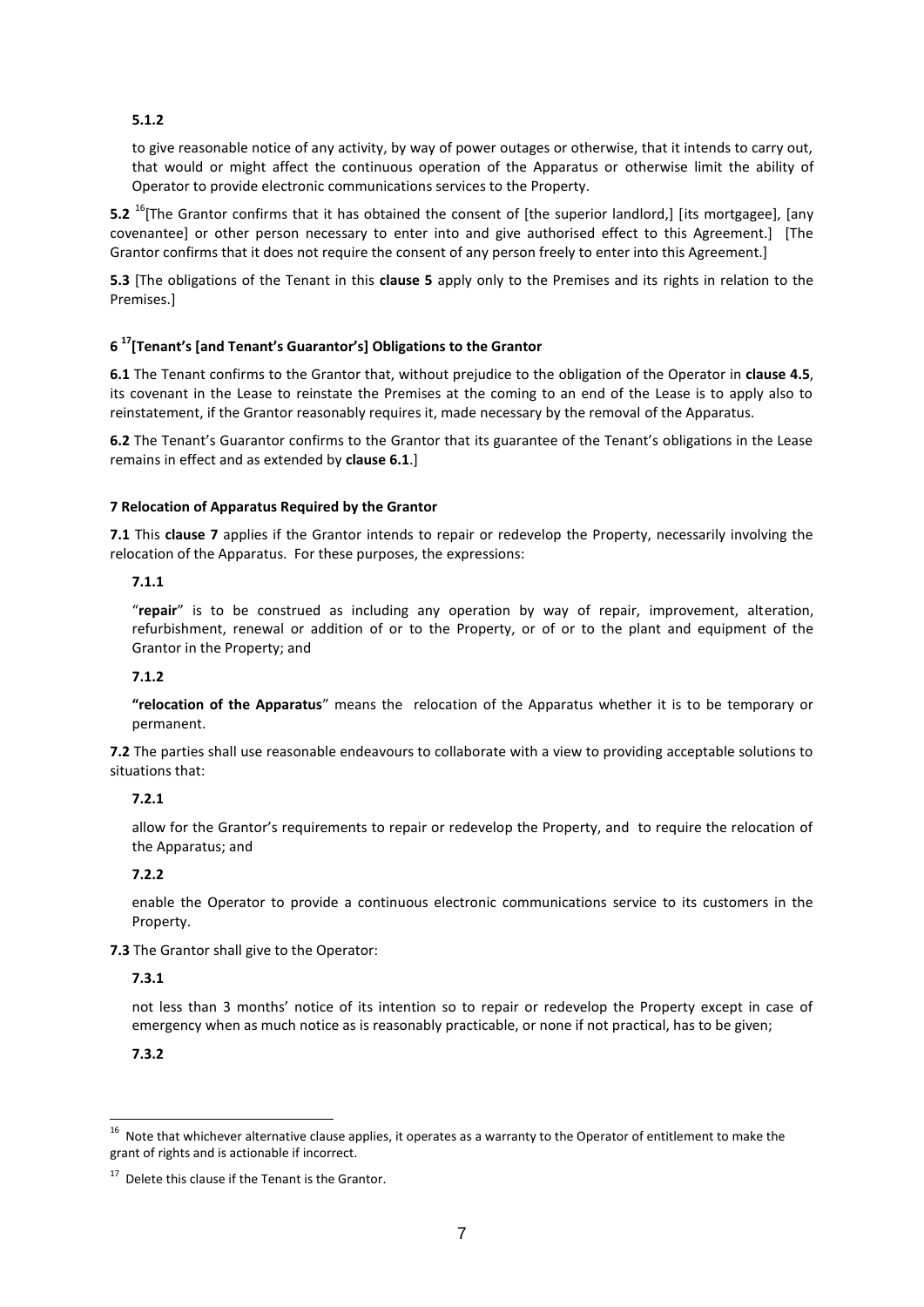#### **5.1.2**

to give reasonable notice of any activity, by way of power outages or otherwise, that it intends to carry out, that would or might affect the continuous operation of the Apparatus or otherwise limit the ability of Operator to provide electronic communications services to the Property.

**5.2** <sup>16</sup>[The Grantor confirms that it has obtained the consent of [the superior landlord,] [its mortgagee], [any covenantee] or other person necessary to enter into and give authorised effect to this Agreement.] [The Grantor confirms that it does not require the consent of any person freely to enter into this Agreement.]

**5.3** [The obligations of the Tenant in this **clause 5** apply only to the Premises and its rights in relation to the Premises.]

#### **6 <sup>17</sup>[Tenant's [and Tenant's Guarantor's] Obligations to the Grantor**

**6.1** The Tenant confirms to the Grantor that, without prejudice to the obligation of the Operator in **clause 4.5**, its covenant in the Lease to reinstate the Premises at the coming to an end of the Lease is to apply also to reinstatement, if the Grantor reasonably requires it, made necessary by the removal of the Apparatus.

**6.2** The Tenant's Guarantor confirms to the Grantor that its guarantee of the Tenant's obligations in the Lease remains in effect and as extended by **clause 6.1**.]

#### **7 Relocation of Apparatus Required by the Grantor**

**7.1** This **clause 7** applies if the Grantor intends to repair or redevelop the Property, necessarily involving the relocation of the Apparatus. For these purposes, the expressions:

#### **7.1.1**

"**repair**" is to be construed as including any operation by way of repair, improvement, alteration, refurbishment, renewal or addition of or to the Property, or of or to the plant and equipment of the Grantor in the Property; and

#### **7.1.2**

**"relocation of the Apparatus**" means the relocation of the Apparatus whether it is to be temporary or permanent.

**7.2** The parties shall use reasonable endeavours to collaborate with a view to providing acceptable solutions to situations that:

#### **7.2.1**

allow for the Grantor's requirements to repair or redevelop the Property, and to require the relocation of the Apparatus; and

#### **7.2.2**

enable the Operator to provide a continuous electronic communications service to its customers in the Property.

**7.3** The Grantor shall give to the Operator:

#### **7.3.1**

not less than 3 months' notice of its intention so to repair or redevelop the Property except in case of emergency when as much notice as is reasonably practicable, or none if not practical, has to be given;

#### **7.3.2**

 16 Note that whichever alternative clause applies, it operates as a warranty to the Operator of entitlement to make the grant of rights and is actionable if incorrect.

 $17$  Delete this clause if the Tenant is the Grantor.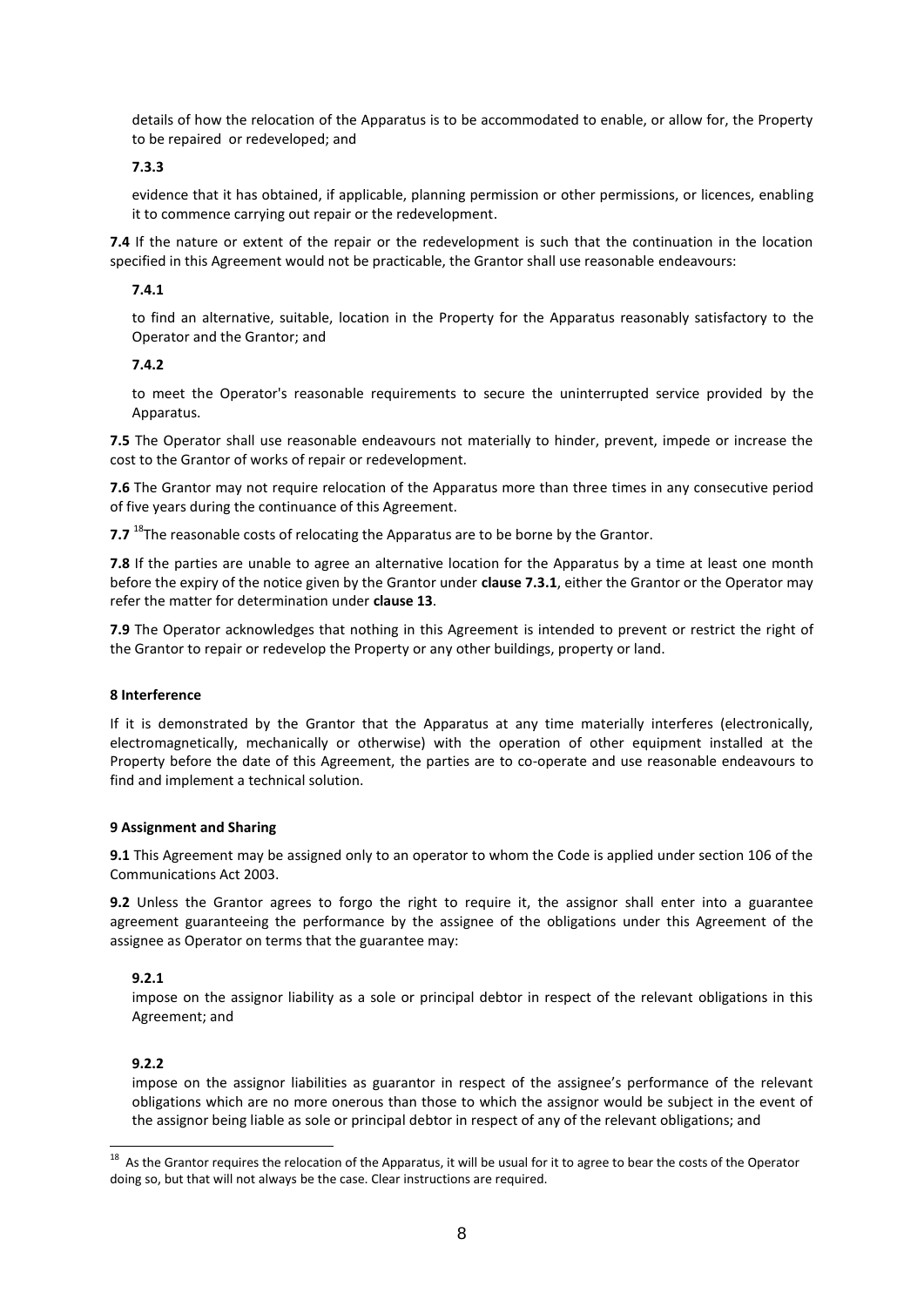details of how the relocation of the Apparatus is to be accommodated to enable, or allow for, the Property to be repaired or redeveloped; and

#### **7.3.3**

evidence that it has obtained, if applicable, planning permission or other permissions, or licences, enabling it to commence carrying out repair or the redevelopment.

**7.4** If the nature or extent of the repair or the redevelopment is such that the continuation in the location specified in this Agreement would not be practicable, the Grantor shall use reasonable endeavours:

#### **7.4.1**

to find an alternative, suitable, location in the Property for the Apparatus reasonably satisfactory to the Operator and the Grantor; and

#### **7.4.2**

to meet the Operator's reasonable requirements to secure the uninterrupted service provided by the Apparatus.

**7.5** The Operator shall use reasonable endeavours not materially to hinder, prevent, impede or increase the cost to the Grantor of works of repair or redevelopment.

**7.6** The Grantor may not require relocation of the Apparatus more than three times in any consecutive period of five years during the continuance of this Agreement.

**7.7** <sup>18</sup>The reasonable costs of relocating the Apparatus are to be borne by the Grantor.

**7.8** If the parties are unable to agree an alternative location for the Apparatus by a time at least one month before the expiry of the notice given by the Grantor under **clause 7.3.1**, either the Grantor or the Operator may refer the matter for determination under **clause 13**.

**7.9** The Operator acknowledges that nothing in this Agreement is intended to prevent or restrict the right of the Grantor to repair or redevelop the Property or any other buildings, property or land.

#### **8 Interference**

If it is demonstrated by the Grantor that the Apparatus at any time materially interferes (electronically, electromagnetically, mechanically or otherwise) with the operation of other equipment installed at the Property before the date of this Agreement, the parties are to co-operate and use reasonable endeavours to find and implement a technical solution.

#### **9 Assignment and Sharing**

**9.1** This Agreement may be assigned only to an operator to whom the Code is applied under section 106 of the Communications Act 2003.

**9.2** Unless the Grantor agrees to forgo the right to require it, the assignor shall enter into a guarantee agreement guaranteeing the performance by the assignee of the obligations under this Agreement of the assignee as Operator on terms that the guarantee may:

#### **9.2.1**

impose on the assignor liability as a sole or principal debtor in respect of the relevant obligations in this Agreement; and

#### **9.2.2**

impose on the assignor liabilities as guarantor in respect of the assignee's performance of the relevant obligations which are no more onerous than those to which the assignor would be subject in the event of the assignor being liable as sole or principal debtor in respect of any of the relevant obligations; and

<sup>18&</sup>lt;br>18 As the Grantor requires the relocation of the Apparatus, it will be usual for it to agree to bear the costs of the Operator doing so, but that will not always be the case. Clear instructions are required.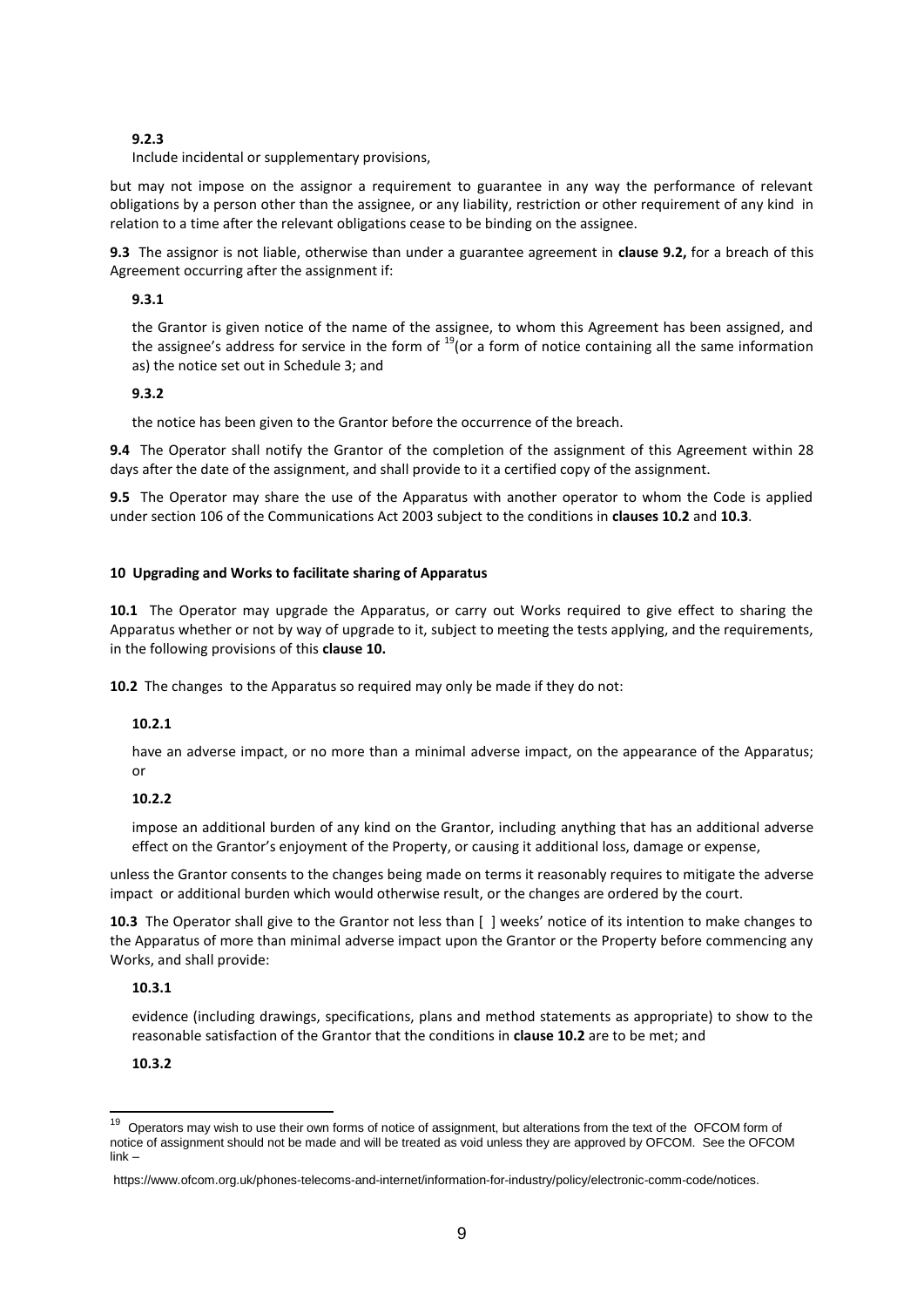#### **9.2.3**

Include incidental or supplementary provisions,

but may not impose on the assignor a requirement to guarantee in any way the performance of relevant obligations by a person other than the assignee, or any liability, restriction or other requirement of any kind in relation to a time after the relevant obligations cease to be binding on the assignee.

**9.3** The assignor is not liable, otherwise than under a guarantee agreement in **clause 9.2,** for a breach of this Agreement occurring after the assignment if:

#### **9.3.1**

the Grantor is given notice of the name of the assignee, to whom this Agreement has been assigned, and the assignee's address for service in the form of  $19$ (or a form of notice containing all the same information as) the notice set out in Schedule 3; and

#### **9.3.2**

the notice has been given to the Grantor before the occurrence of the breach.

**9.4** The Operator shall notify the Grantor of the completion of the assignment of this Agreement within 28 days after the date of the assignment, and shall provide to it a certified copy of the assignment.

**9.5** The Operator may share the use of the Apparatus with another operator to whom the Code is applied under section 106 of the Communications Act 2003 subject to the conditions in **clauses 10.2** and **10.3**.

#### **10 Upgrading and Works to facilitate sharing of Apparatus**

**10.1** The Operator may upgrade the Apparatus, or carry out Works required to give effect to sharing the Apparatus whether or not by way of upgrade to it, subject to meeting the tests applying, and the requirements, in the following provisions of this **clause 10.**

**10.2** The changes to the Apparatus so required may only be made if they do not:

#### **10.2.1**

have an adverse impact, or no more than a minimal adverse impact, on the appearance of the Apparatus; or

#### **10.2.2**

impose an additional burden of any kind on the Grantor, including anything that has an additional adverse effect on the Grantor's enjoyment of the Property, or causing it additional loss, damage or expense,

unless the Grantor consents to the changes being made on terms it reasonably requires to mitigate the adverse impact or additional burden which would otherwise result, or the changes are ordered by the court.

**10.3** The Operator shall give to the Grantor not less than [ ] weeks' notice of its intention to make changes to the Apparatus of more than minimal adverse impact upon the Grantor or the Property before commencing any Works, and shall provide:

#### **10.3.1**

evidence (including drawings, specifications, plans and method statements as appropriate) to show to the reasonable satisfaction of the Grantor that the conditions in **clause 10.2** are to be met; and

#### **10.3.2**

 $\overline{a}$ 

<sup>19</sup> Operators may wish to use their own forms of notice of assignment, but alterations from the text of the OFCOM form of notice of assignment should not be made and will be treated as void unless they are approved by OFCOM. See the OFCOM link –

https://www.ofcom.org.uk/phones-telecoms-and-internet/information-for-industry/policy/electronic-comm-code/notices.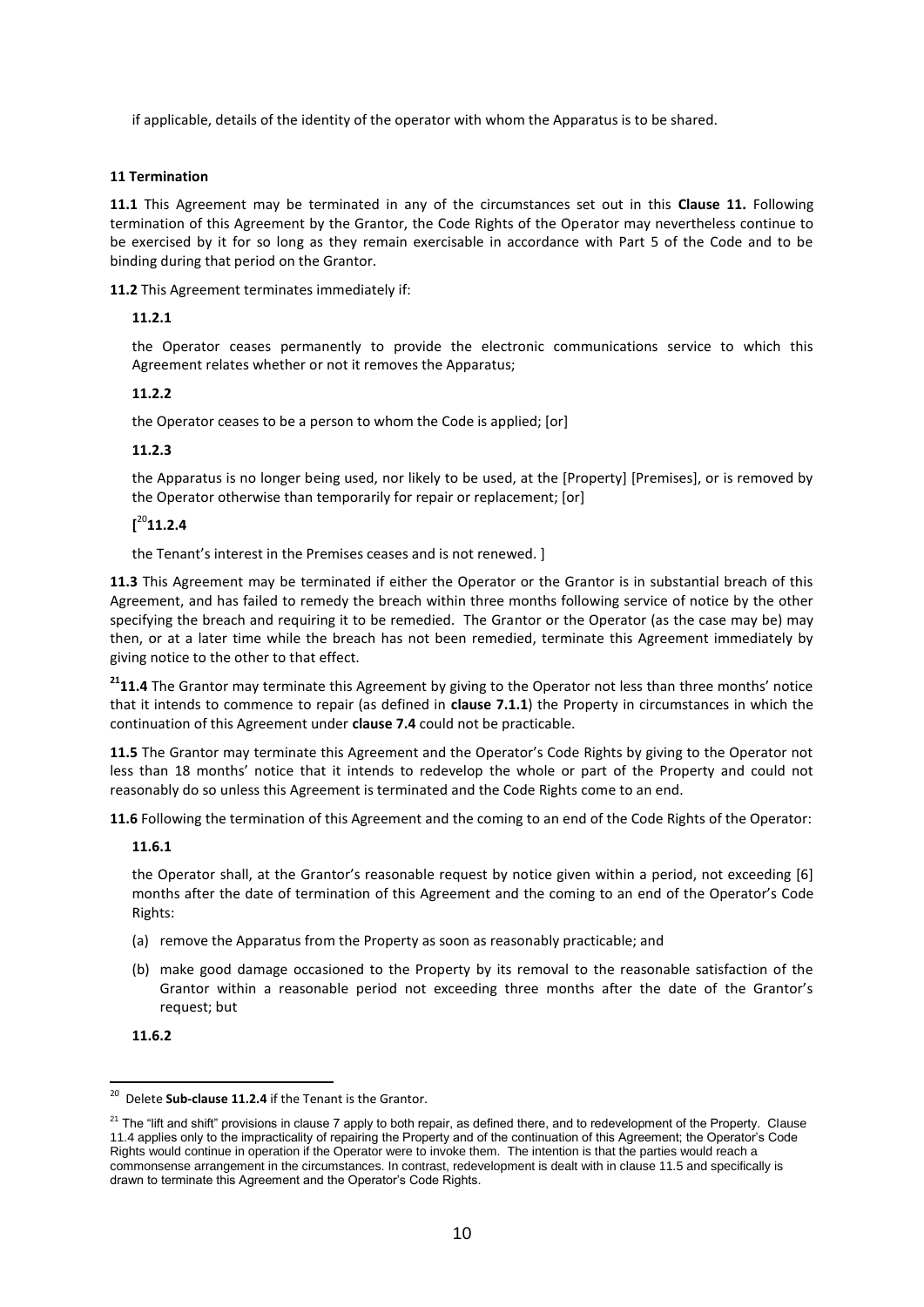if applicable, details of the identity of the operator with whom the Apparatus is to be shared.

#### **11 Termination**

**11.1** This Agreement may be terminated in any of the circumstances set out in this **Clause 11.** Following termination of this Agreement by the Grantor, the Code Rights of the Operator may nevertheless continue to be exercised by it for so long as they remain exercisable in accordance with Part 5 of the Code and to be binding during that period on the Grantor.

**11.2** This Agreement terminates immediately if:

#### **11.2.1**

the Operator ceases permanently to provide the electronic communications service to which this Agreement relates whether or not it removes the Apparatus;

#### **11.2.2**

the Operator ceases to be a person to whom the Code is applied; [or]

#### **11.2.3**

the Apparatus is no longer being used, nor likely to be used, at the [Property] [Premises], or is removed by the Operator otherwise than temporarily for repair or replacement; [or]

#### **[** <sup>20</sup>**11.2.4**

the Tenant's interest in the Premises ceases and is not renewed. ]

**11.3** This Agreement may be terminated if either the Operator or the Grantor is in substantial breach of this Agreement, and has failed to remedy the breach within three months following service of notice by the other specifying the breach and requiring it to be remedied. The Grantor or the Operator (as the case may be) may then, or at a later time while the breach has not been remedied, terminate this Agreement immediately by giving notice to the other to that effect.

<sup>21</sup>11.4 The Grantor may terminate this Agreement by giving to the Operator not less than three months' notice that it intends to commence to repair (as defined in **clause 7.1.1**) the Property in circumstances in which the continuation of this Agreement under **clause 7.4** could not be practicable.

**11.5** The Grantor may terminate this Agreement and the Operator's Code Rights by giving to the Operator not less than 18 months' notice that it intends to redevelop the whole or part of the Property and could not reasonably do so unless this Agreement is terminated and the Code Rights come to an end.

**11.6** Following the termination of this Agreement and the coming to an end of the Code Rights of the Operator:

#### **11.6.1**

the Operator shall, at the Grantor's reasonable request by notice given within a period, not exceeding [6] months after the date of termination of this Agreement and the coming to an end of the Operator's Code Rights:

- (a) remove the Apparatus from the Property as soon as reasonably practicable; and
- (b) make good damage occasioned to the Property by its removal to the reasonable satisfaction of the Grantor within a reasonable period not exceeding three months after the date of the Grantor's request; but

**11.6.2**

 20 Delete **Sub-clause 11.2.4** if the Tenant is the Grantor.

<sup>&</sup>lt;sup>21</sup> The "lift and shift" provisions in clause 7 apply to both repair, as defined there, and to redevelopment of the Property. Clause 11.4 applies only to the impracticality of repairing the Property and of the continuation of this Agreement; the Operator's Code Rights would continue in operation if the Operator were to invoke them. The intention is that the parties would reach a commonsense arrangement in the circumstances. In contrast, redevelopment is dealt with in clause 11.5 and specifically is drawn to terminate this Agreement and the Operator's Code Rights.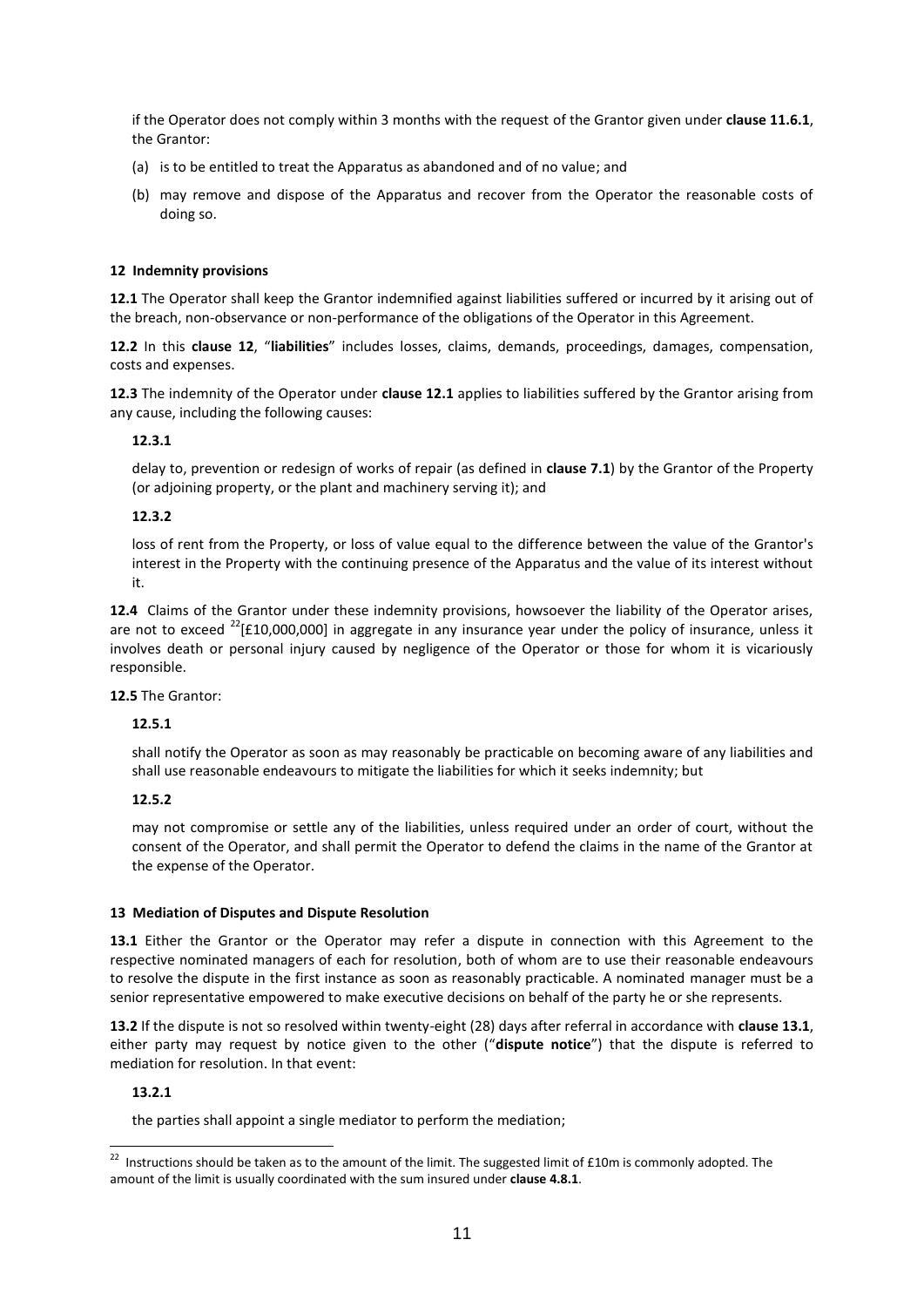if the Operator does not comply within 3 months with the request of the Grantor given under **clause 11.6.1**, the Grantor:

- (a) is to be entitled to treat the Apparatus as abandoned and of no value; and
- (b) may remove and dispose of the Apparatus and recover from the Operator the reasonable costs of doing so.

#### **12 Indemnity provisions**

**12.1** The Operator shall keep the Grantor indemnified against liabilities suffered or incurred by it arising out of the breach, non-observance or non-performance of the obligations of the Operator in this Agreement.

**12.2** In this **clause 12**, "**liabilities**" includes losses, claims, demands, proceedings, damages, compensation, costs and expenses.

**12.3** The indemnity of the Operator under **clause 12.1** applies to liabilities suffered by the Grantor arising from any cause, including the following causes:

#### **12.3.1**

delay to, prevention or redesign of works of repair (as defined in **clause 7.1**) by the Grantor of the Property (or adjoining property, or the plant and machinery serving it); and

#### **12.3.2**

loss of rent from the Property, or loss of value equal to the difference between the value of the Grantor's interest in the Property with the continuing presence of the Apparatus and the value of its interest without it.

**12.4** Claims of the Grantor under these indemnity provisions, howsoever the liability of the Operator arises, are not to exceed  $^{22}$ [£10,000,000] in aggregate in any insurance year under the policy of insurance, unless it involves death or personal injury caused by negligence of the Operator or those for whom it is vicariously responsible.

**12.5** The Grantor:

#### **12.5.1**

shall notify the Operator as soon as may reasonably be practicable on becoming aware of any liabilities and shall use reasonable endeavours to mitigate the liabilities for which it seeks indemnity; but

#### **12.5.2**

may not compromise or settle any of the liabilities, unless required under an order of court, without the consent of the Operator, and shall permit the Operator to defend the claims in the name of the Grantor at the expense of the Operator.

#### **13 Mediation of Disputes and Dispute Resolution**

**13.1** Either the Grantor or the Operator may refer a dispute in connection with this Agreement to the respective nominated managers of each for resolution, both of whom are to use their reasonable endeavours to resolve the dispute in the first instance as soon as reasonably practicable. A nominated manager must be a senior representative empowered to make executive decisions on behalf of the party he or she represents.

**13.2** If the dispute is not so resolved within twenty-eight (28) days after referral in accordance with **clause 13.1**, either party may request by notice given to the other ("**dispute notice**") that the dispute is referred to mediation for resolution. In that event:

#### **13.2.1**

the parties shall appoint a single mediator to perform the mediation;

<sup>22</sup> Instructions should be taken as to the amount of the limit. The suggested limit of £10m is commonly adopted. The amount of the limit is usually coordinated with the sum insured under **clause 4.8.1**.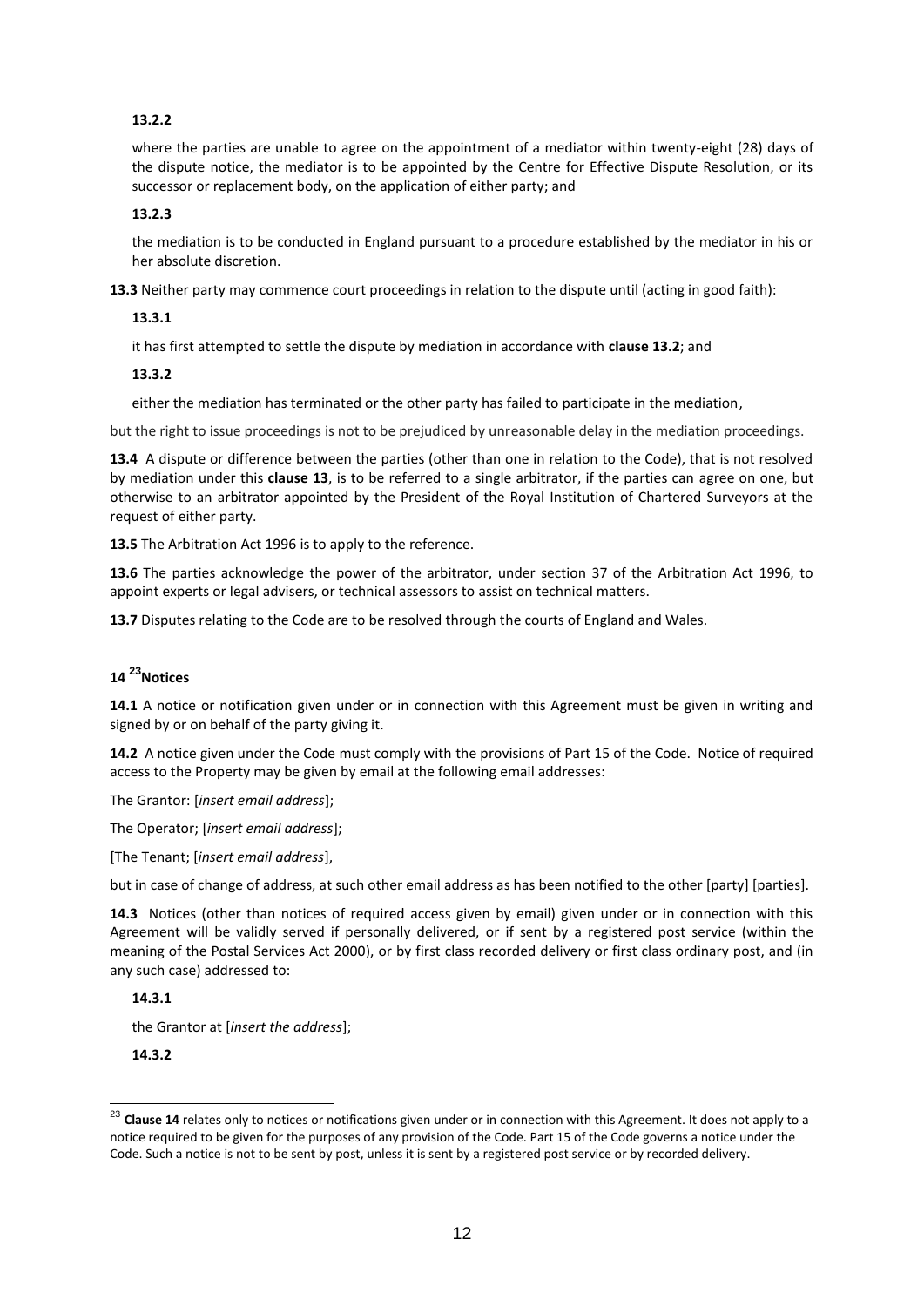#### **13.2.2**

where the parties are unable to agree on the appointment of a mediator within twenty-eight (28) days of the dispute notice, the mediator is to be appointed by the Centre for Effective Dispute Resolution, or its successor or replacement body, on the application of either party; and

#### **13.2.3**

the mediation is to be conducted in England pursuant to a procedure established by the mediator in his or her absolute discretion.

**13.3** Neither party may commence court proceedings in relation to the dispute until (acting in good faith):

#### **13.3.1**

it has first attempted to settle the dispute by mediation in accordance with **clause 13.2**; and

#### **13.3.2**

either the mediation has terminated or the other party has failed to participate in the mediation,

but the right to issue proceedings is not to be prejudiced by unreasonable delay in the mediation proceedings.

**13.4** A dispute or difference between the parties (other than one in relation to the Code), that is not resolved by mediation under this **clause 13**, is to be referred to a single arbitrator, if the parties can agree on one, but otherwise to an arbitrator appointed by the President of the Royal Institution of Chartered Surveyors at the request of either party.

**13.5** The Arbitration Act 1996 is to apply to the reference.

**13.6** The parties acknowledge the power of the arbitrator, under section 37 of the Arbitration Act 1996, to appoint experts or legal advisers, or technical assessors to assist on technical matters.

**13.7** Disputes relating to the Code are to be resolved through the courts of England and Wales.

### **14 <sup>23</sup>Notices**

**14.1** A notice or notification given under or in connection with this Agreement must be given in writing and signed by or on behalf of the party giving it.

**14.2** A notice given under the Code must comply with the provisions of Part 15 of the Code. Notice of required access to the Property may be given by email at the following email addresses:

The Grantor: [*insert email address*];

The Operator; [*insert email address*];

[The Tenant; [*insert email address*],

but in case of change of address, at such other email address as has been notified to the other [party] [parties].

**14.3** Notices (other than notices of required access given by email) given under or in connection with this Agreement will be validly served if personally delivered, or if sent by a registered post service (within the meaning of the Postal Services Act 2000), or by first class recorded delivery or first class ordinary post, and (in any such case) addressed to:

**14.3.1**

the Grantor at [*insert the address*];

**14.3.2**

<sup>&</sup>lt;sup>23</sup> Clause 14 relates only to notices or notifications given under or in connection with this Agreement. It does not apply to a notice required to be given for the purposes of any provision of the Code. Part 15 of the Code governs a notice under the Code. Such a notice is not to be sent by post, unless it is sent by a registered post service or by recorded delivery.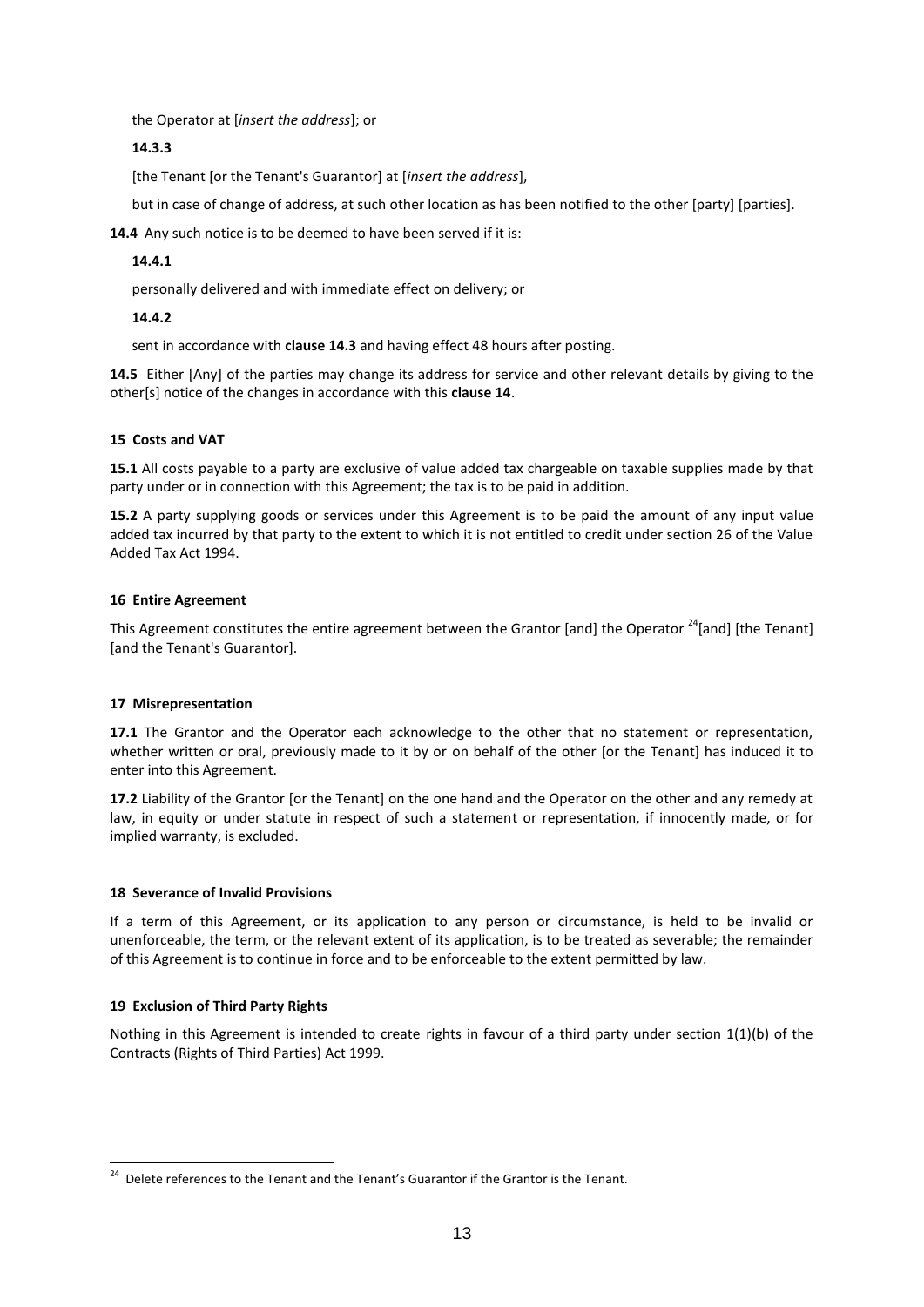the Operator at [*insert the address*]; or

#### **14.3.3**

[the Tenant [or the Tenant's Guarantor] at [*insert the address*],

but in case of change of address, at such other location as has been notified to the other [party] [parties].

**14.4** Any such notice is to be deemed to have been served if it is:

#### **14.4.1**

personally delivered and with immediate effect on delivery; or

#### **14.4.2**

sent in accordance with **clause 14.3** and having effect 48 hours after posting.

**14.5** Either [Any] of the parties may change its address for service and other relevant details by giving to the other[s] notice of the changes in accordance with this **clause 14**.

#### **15 Costs and VAT**

**15.1** All costs payable to a party are exclusive of value added tax chargeable on taxable supplies made by that party under or in connection with this Agreement; the tax is to be paid in addition.

**15.2** A party supplying goods or services under this Agreement is to be paid the amount of any input value added tax incurred by that party to the extent to which it is not entitled to credit under section 26 of the Value Added Tax Act 1994.

#### **16 Entire Agreement**

This Agreement constitutes the entire agreement between the Grantor [and] the Operator <sup>24</sup>[and] [the Tenant] [and the Tenant's Guarantor].

#### **17 Misrepresentation**

**17.1** The Grantor and the Operator each acknowledge to the other that no statement or representation, whether written or oral, previously made to it by or on behalf of the other [or the Tenant] has induced it to enter into this Agreement.

**17.2** Liability of the Grantor [or the Tenant] on the one hand and the Operator on the other and any remedy at law, in equity or under statute in respect of such a statement or representation, if innocently made, or for implied warranty, is excluded.

#### **18 Severance of Invalid Provisions**

If a term of this Agreement, or its application to any person or circumstance, is held to be invalid or unenforceable, the term, or the relevant extent of its application, is to be treated as severable; the remainder of this Agreement is to continue in force and to be enforceable to the extent permitted by law.

#### **19 Exclusion of Third Party Rights**

Nothing in this Agreement is intended to create rights in favour of a third party under section 1(1)(b) of the Contracts (Rights of Third Parties) Act 1999.

 <sup>24</sup> Delete references to the Tenant and the Tenant's Guarantor if the Grantor is the Tenant.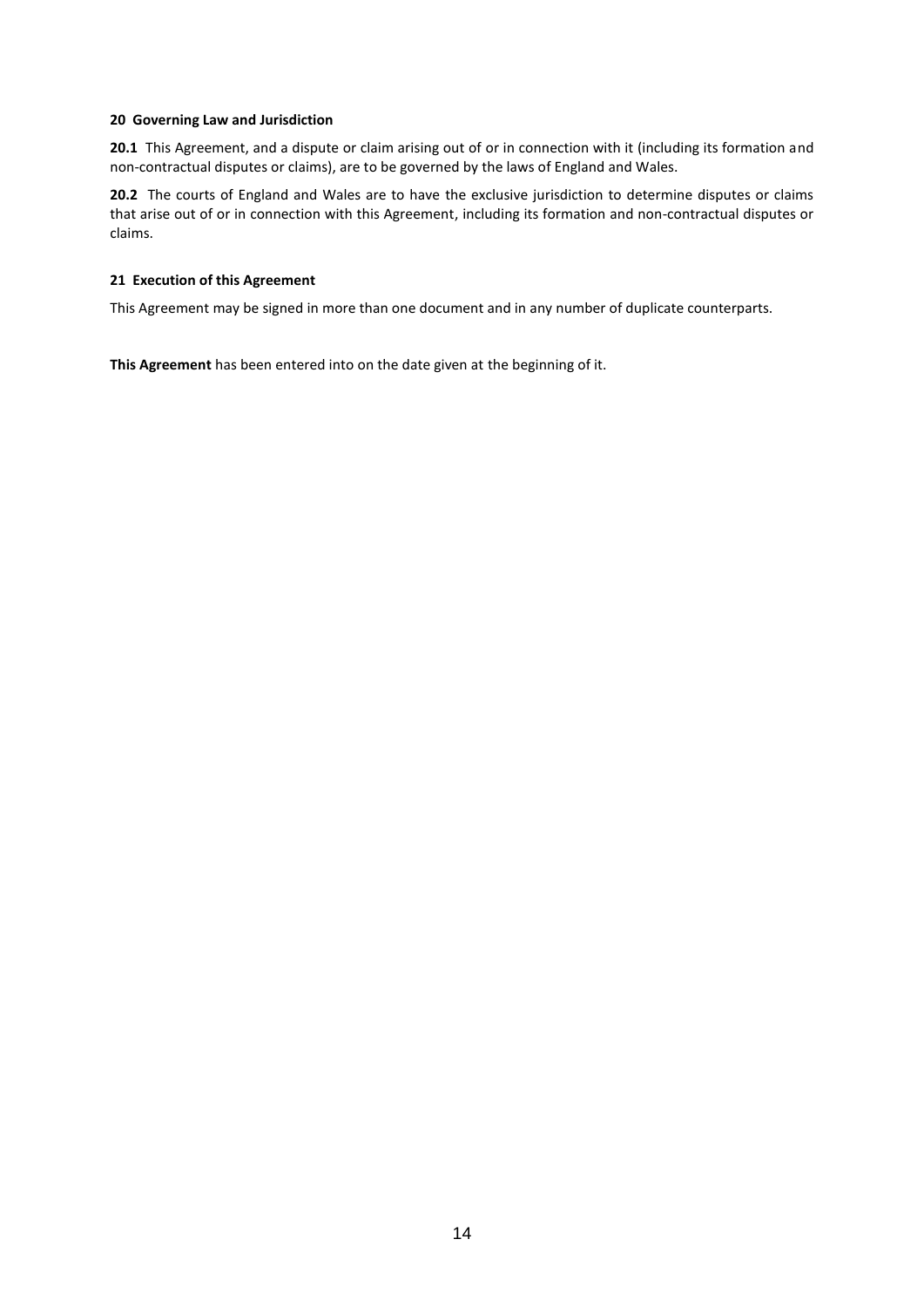#### **20 Governing Law and Jurisdiction**

20.1 This Agreement, and a dispute or claim arising out of or in connection with it (including its formation and non-contractual disputes or claims), are to be governed by the laws of England and Wales.

**20.2** The courts of England and Wales are to have the exclusive jurisdiction to determine disputes or claims that arise out of or in connection with this Agreement, including its formation and non-contractual disputes or claims.

#### **21 Execution of this Agreement**

This Agreement may be signed in more than one document and in any number of duplicate counterparts.

**This Agreement** has been entered into on the date given at the beginning of it.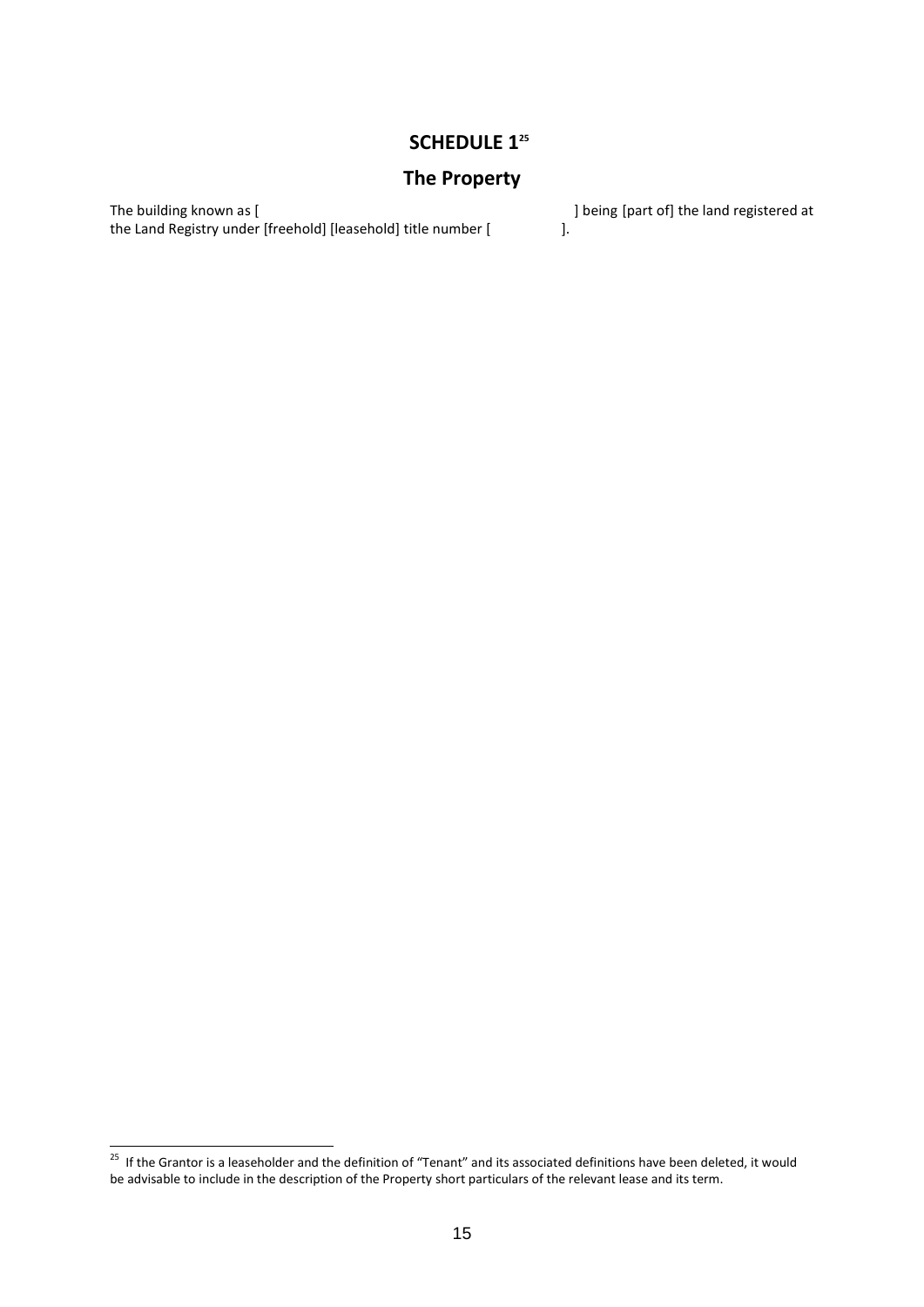### **SCHEDULE 1<sup>25</sup>**

## **The Property**

The building known as [  $\qquad$  ] being [part of] the land registered at the Land Registry under [freehold] [leasehold] title number [  $\qquad$  ]. the Land Registry under [freehold] [leasehold] title number [

 25 If the Grantor is a leaseholder and the definition of "Tenant" and its associated definitions have been deleted, it would be advisable to include in the description of the Property short particulars of the relevant lease and its term.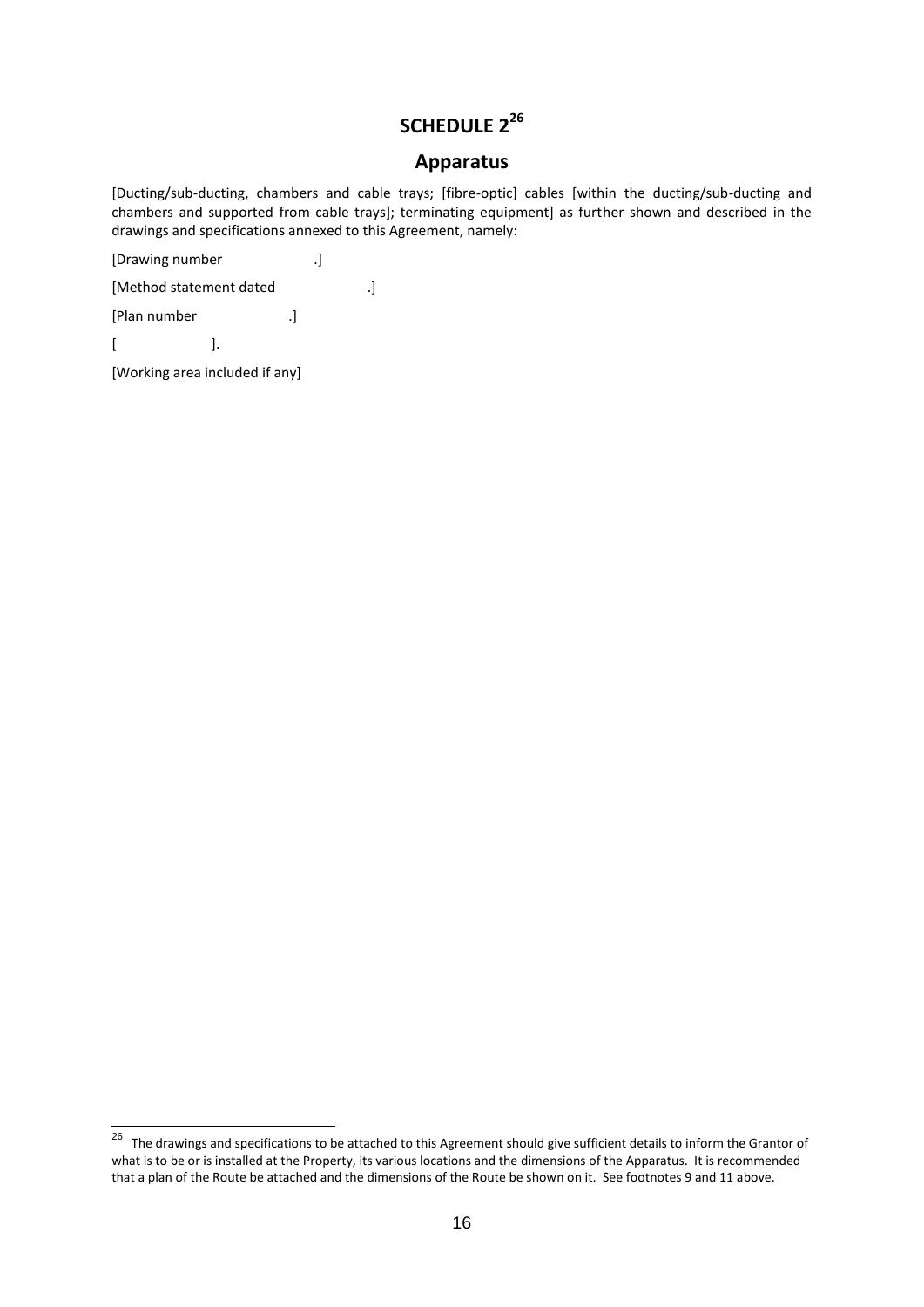# **SCHEDULE 2<sup>26</sup>**

### **Apparatus**

[Ducting/sub-ducting, chambers and cable trays; [fibre-optic] cables [within the ducting/sub-ducting and chambers and supported from cable trays]; terminating equipment] as further shown and described in the drawings and specifications annexed to this Agreement, namely:

[Drawing number .]

[Method statement dated .]

[Plan number .]

 $[$   $]$ .

[Working area included if any]

 26 The drawings and specifications to be attached to this Agreement should give sufficient details to inform the Grantor of what is to be or is installed at the Property, its various locations and the dimensions of the Apparatus. It is recommended that a plan of the Route be attached and the dimensions of the Route be shown on it. See footnotes 9 and 11 above.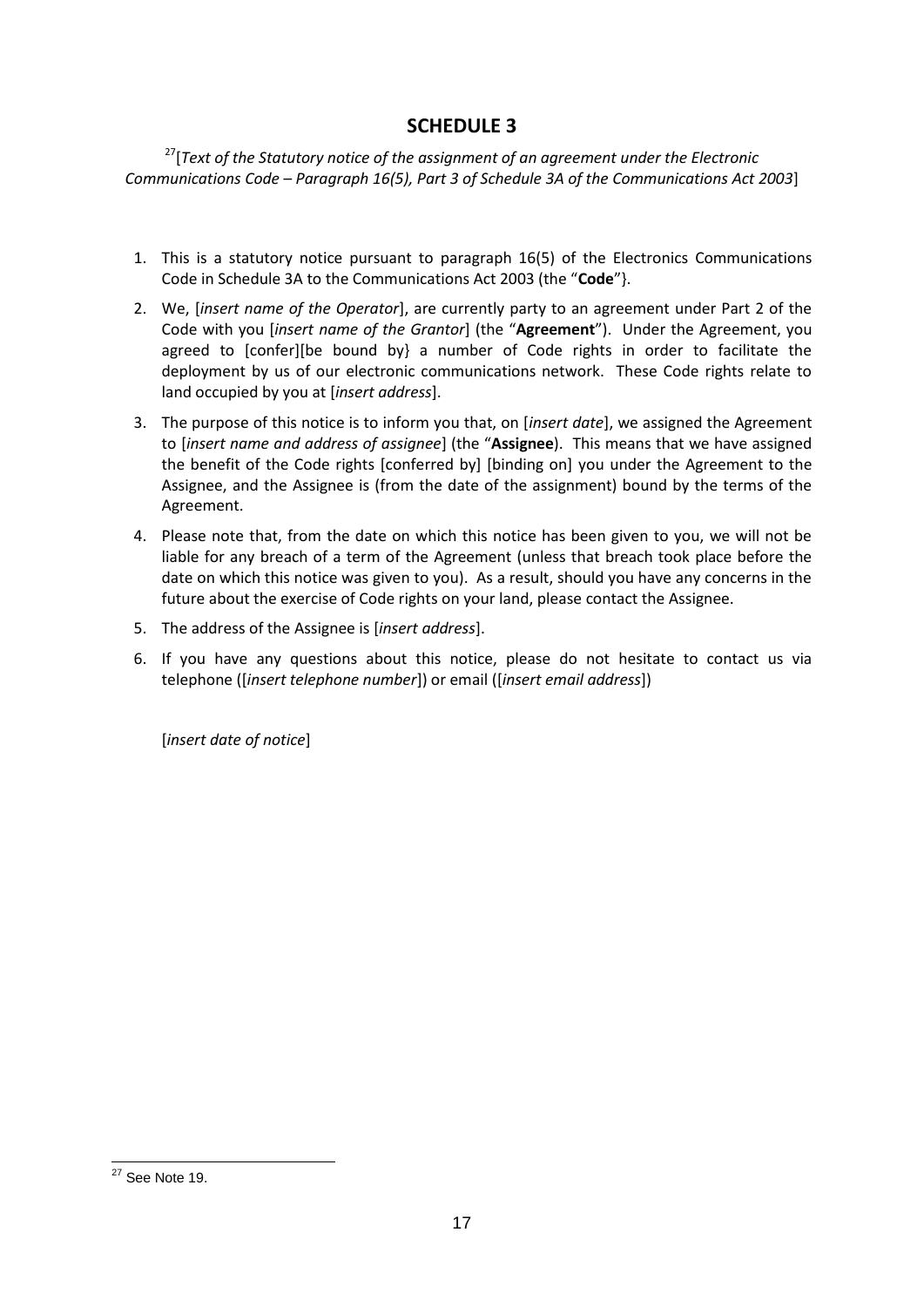## **SCHEDULE 3**

<sup>27</sup>[*Text of the Statutory notice of the assignment of an agreement under the Electronic Communications Code – Paragraph 16(5), Part 3 of Schedule 3A of the Communications Act 2003*]

- 1. This is a statutory notice pursuant to paragraph 16(5) of the Electronics Communications Code in Schedule 3A to the Communications Act 2003 (the "**Code**"}.
- 2. We, [*insert name of the Operator*], are currently party to an agreement under Part 2 of the Code with you [*insert name of the Grantor*] (the "**Agreement**"). Under the Agreement, you agreed to [confer][be bound by] a number of Code rights in order to facilitate the deployment by us of our electronic communications network. These Code rights relate to land occupied by you at [*insert address*].
- 3. The purpose of this notice is to inform you that, on [*insert date*], we assigned the Agreement to [*insert name and address of assignee*] (the "**Assignee**). This means that we have assigned the benefit of the Code rights [conferred by] [binding on] you under the Agreement to the Assignee, and the Assignee is (from the date of the assignment) bound by the terms of the Agreement.
- 4. Please note that, from the date on which this notice has been given to you, we will not be liable for any breach of a term of the Agreement (unless that breach took place before the date on which this notice was given to you). As a result, should you have any concerns in the future about the exercise of Code rights on your land, please contact the Assignee.
- 5. The address of the Assignee is [*insert address*].
- 6. If you have any questions about this notice, please do not hesitate to contact us via telephone ([*insert telephone number*]) or email ([*insert email address*])

[*insert date of notice*]

<sup>-</sup> $27$  See Note 19.